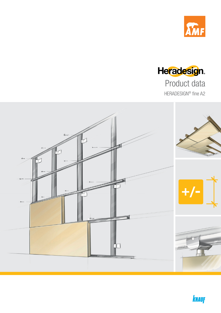





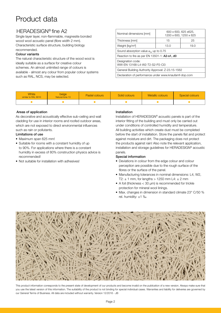### Product data

### HERADESIGN<sup>®</sup> fine A2

Single layer layer, non-flammable, magnesite bonded wood wool acoustic panel (fibre width 2 mm). Characteristic surface structure, building biology recommended.

### Colour variants

The natural characteristic structure of the wood wool is ideally suitable as a surface for creative colour schemes. An almost unlimited range of colours is available - almost any colour from popular colour systems such as RAL, NCS, may be selected.

| Nominal dimensions [mm]                               | 600 x 600, 625 x625,<br>1200 x 600, 1250 x 625 |    |  |  |  |  |  |  |  |
|-------------------------------------------------------|------------------------------------------------|----|--|--|--|--|--|--|--|
| Thickness [mm]                                        | 15                                             | 25 |  |  |  |  |  |  |  |
| Weight [kg/m <sup>2</sup> ]<br>13.0<br>19.0           |                                                |    |  |  |  |  |  |  |  |
| Sound absorption value $\alpha_{\mu}$ up to 0.75      |                                                |    |  |  |  |  |  |  |  |
| Reaction to fire as per EN 13501-1: A2-s1, d0         |                                                |    |  |  |  |  |  |  |  |
| Designation code:<br>WW-EN 13168-L4-W2-T2-S2-P2-Cl3   |                                                |    |  |  |  |  |  |  |  |
| General Building Authority Approval: Z-23.15-1562     |                                                |    |  |  |  |  |  |  |  |
| Declaration of performance under www.knaufamf-dop.com |                                                |    |  |  |  |  |  |  |  |

| White<br>similar to RAL 9010 | beige<br>Natural tone 13 | Pastel colours | Solid colours | Metallic colours | Special colours |
|------------------------------|--------------------------|----------------|---------------|------------------|-----------------|
|                              |                          |                |               |                  |                 |

### Areas of application

As decorative and acoustically effective sub-ceiling and wall cladding for use in interior rooms and roofed outdoor areas, which are not exposed to direct environmental influences such as rain or pollutants.

### Limitations of use

- Maximum span 625 mm!
- Suitable for rooms with a constant humidity of up to 90%. For applications where there is a constant humidity in excess of 80% construction physics advice is recommended!
- Not suitable for installation with adhesives!

### Installation

Installation of HERADESIGN® acoustic panels is part of the interior fitting of the building and must only be carried out under conditions of controlled humidity and temperature. All building activities which create dust must be completed before the start of installation. Store the panels flat and protect against moisture and dirt. The packaging does not protect the products against rain! Also note the relevant application, installation and storage guidelines for HERADESIGN® acoustic panels.

### Special information

- Deviations in colour from the edge colour and colour perception are possible due to the rough surface of the fibres or the surface of the panel.
- Manufacturing tolerances in nominal dimensions: L4, W2, T2:  $\pm$  1 mm, for lengths > 1250 mm L4:  $\pm$  2 mm
- A foil (thickness < 30 µm) is recommended for trickle protection for mineral wool linings.
- Max. changes in dimension in standard climate 23° C/50 % rel. humidity: ±1 ‰



This product information corresponds to the present state of development of our products and become invalid on the publication of a new version. Always make sure that you use the latest version of this information. The suitability of the product is not binding for special individual cases. Warranties and liability for deliveries are governed by our General Terms of Business. All data are included without warranty. Version 12/2016 - JB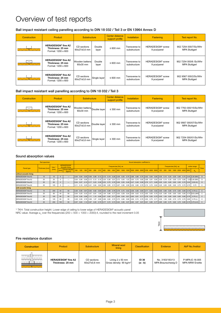## Overview of test reports

### Ball impact resistant ceiling panelling according to DIN 18 032 / Teil 3 or EN 13964 Annex D

| Construction | Product                                                              | Substructure                |                 | Center distance<br>support profile | <b>Installation</b>             | Fastening                                    | Test report No.                                |  |  |  |
|--------------|----------------------------------------------------------------------|-----------------------------|-----------------|------------------------------------|---------------------------------|----------------------------------------------|------------------------------------------------|--|--|--|
|              | <b>HERADESIGN®</b> fine A2<br>Thickness: 25 mm<br>Format: 1200 x 600 | CD sections<br>60x27x0.6 mm | Double<br>layer | $\leq 600$ mm                      | Transverse to<br>substructure   | HERADESIGN <sup>®</sup> screw<br>9 pcs/panel | 902 7254 000/7/Sc/Whr<br><b>MPA Stuttgart</b>  |  |  |  |
|              | <b>HERADESIGN®</b> fine A2<br>Thickness: 25 mm<br>Format: 1200 x 600 | Wooden battens<br>60x30 mm  | Double<br>layer | $\leq 600$ mm                      | Transverse to<br>substructure   | HERADESIGN <sup>®</sup> screw<br>9 pcs/panel | 902 7254 000/6 /Sc/Whr<br><b>MPA Stuttgart</b> |  |  |  |
|              | <b>HERADESIGN®</b> fine A2<br>Thickness: 25 mm<br>Format: 1200 x 600 | CD sections<br>60x27x0.6 mm | Single layer    | $\leq 600$ mm                      | Transverse to I<br>substructure | HERADESIGN® screw<br>9 pcs/panel             | 902 9567 000/2/Sc/Whr<br><b>MPA Stuttgart</b>  |  |  |  |

### Ball impact resistant wall panelling according to DIN 18 032 / Teil 3

| <b>Construction</b> | Product                                                              | <b>Substructure</b>                                      |              | Center distance<br>support profile | <b>Installation</b>           | Fastening                                    | Test report No.                                |  |  |  |
|---------------------|----------------------------------------------------------------------|----------------------------------------------------------|--------------|------------------------------------|-------------------------------|----------------------------------------------|------------------------------------------------|--|--|--|
|                     | <b>HERADESIGN®</b> fine A2<br>Thickness: 25 mm<br>Format: 1200 x 600 | Wooden battens <br>Double layer <sup> </sup><br>60x30 mm |              | $\leq 300$ mm                      | Transverse to<br>substructure | HERADESIGN <sup>®</sup> screw<br>9 pcs/panel | 902 7763 000/15/Sc/Whr<br><b>MPA Stuttgart</b> |  |  |  |
|                     | <b>HERADESIGN®</b> fine A2<br>Thickness: 25 mm<br>Format: 1200 x 600 | CD sections<br>60x27x0.6 mm                              | Double layer | $\leq 300$ mm                      | Transverse to<br>substructure | HERADESIGN <sup>®</sup> screw<br>9 pcs/panel | 902 9567 000/07/Sc/Whr<br><b>MPA Stuttgart</b> |  |  |  |
|                     | <b>HERADESIGN®</b> fine A2<br>Thickness: 25 mm<br>Format: 1200 x 600 | CD sections<br>60x27x0.6 mm                              | Single layer | $\leq 300$ mm                      | Transverse to<br>substructure | HERADESIGN <sup>®</sup> screw<br>9 pcs/panel | 902 7254 000/01/Sc/Whr<br><b>MPA Stuttgart</b> |  |  |  |

### Sound absorption values

|                         | <b>Test specimen</b> |                                                                                          |            |                                              | Sound absorption coefficient a |      |      |                 |                                  |      |      |                                                                                                                       |      |                      |                                 |      |      |             |      |                                         |              |                  |             |                       |      |           |      |                              |      |                                  |              |
|-------------------------|----------------------|------------------------------------------------------------------------------------------|------------|----------------------------------------------|--------------------------------|------|------|-----------------|----------------------------------|------|------|-----------------------------------------------------------------------------------------------------------------------|------|----------------------|---------------------------------|------|------|-------------|------|-----------------------------------------|--------------|------------------|-------------|-----------------------|------|-----------|------|------------------------------|------|----------------------------------|--------------|
| Panel type              |                      | <b>HERADESIGN®</b><br>Frequencies [Hz], as<br>TKH <sup>1</sup><br><b>Acoustic lining</b> |            |                                              |                                |      |      |                 |                                  |      |      |                                                                                                                       |      | Frequencies [Hz], ap |                                 |      |      |             |      |                                         | entire range |                  |             |                       |      |           |      |                              |      |                                  |              |
|                         | Thickness [mm]       | [mm]                                                                                     | <b>Imm</b> | <b>Gross density</b><br>[kg/m <sup>3</sup> ] | 100                            | 125  |      | 200             | 250                              | 315  | 400  | 500                                                                                                                   | 630  | 800                  |                                 |      |      |             |      | 1000 1250 1600 2000 2500 3150 4000 5000 |              |                  | 125         | 250                   | 500  |           |      | 1000 2000 4000 NRC           |      | $\alpha$                         | <b>Class</b> |
| without acoustic lining |                      |                                                                                          |            |                                              |                                |      |      |                 |                                  |      |      |                                                                                                                       |      |                      |                                 |      |      |             |      |                                         |              |                  |             |                       |      |           |      |                              |      |                                  |              |
| HERADESIGN® fine A2     | 15                   | 15                                                                                       | $\Omega$   | $\overline{\phantom{a}}$                     | $0.04$ 0.04                    |      |      |                 |                                  |      |      | $0.05$ $\begin{bmatrix} 0.06 & 0.08 & 0.12 \end{bmatrix}$ 0.15 0.19 0.28 0.38 0.55 0.75 0.88 0.86 0.75 0.62 0.64 0.80 |      |                      |                                 |      |      |             |      |                                         |              |                  |             | $0.05$ 0.10 0.20 0.55 |      |           |      |                              |      | $0,85$ 0.70 0.40 0.30 (MH)       |              |
| HERADESIGN® fine A2     | 25                   | 25                                                                                       | $\Omega$   | $\cdots$                                     | 0.04                           | 0.06 |      |                 | $0.09$   $0.12$ 0.12 0.18   0.24 |      |      | 0.36                                                                                                                  | 0.51 | $0,72$ 0.93          |                                 | 1.03 | 0.93 | 0.75        |      | $0,65$ 0.68                             | 0,81         | 0.84             | 0,05        | 0.15                  | 0.35 | 0.90      | 0.75 | 0.80                         |      | $0,5500,40$ (MH)                 |              |
| HERADESIGN® fine A2     | 25                   | 65                                                                                       | $\Omega$   | $\sim$                                       | $\vert 0.04 \vert$             | 0.07 |      | $0.10$   $0.17$ |                                  |      |      | $0.23$ $0.38$ $0.53$ $0.70$ $0.76$                                                                                    |      | 0.69                 | $0,55$ 0.49 0.47                |      |      |             |      | $0,49$ 0.56 0.76 0.71                   |              | 0,68             | $0,05$ 0.25 |                       | 0.65 | 0.60      | 0.50 |                              |      | $0,70$ 0.50 0.50 (H)             |              |
| HERADESIGN® fine A2     | 25                   | 125                                                                                      |            | $\cdots$                                     | 0.11                           | 0.18 |      |                 | $0.25$ 0.41 0.64 0.84 0.86 0.85  |      |      |                                                                                                                       |      |                      | $0.73$ 0.67 0.58 0.56 0.59 0.66 |      |      |             |      | $0,79$ 0.74 0.70                        |              | $0,62$ 0.20 0.65 |             |                       | 0.80 | 0.60      |      | $0.70 \quad 0.70 \quad 0.70$ |      | 0.70                             |              |
| with acoustic lining    |                      |                                                                                          |            |                                              |                                |      |      |                 |                                  |      |      |                                                                                                                       |      |                      |                                 |      |      |             |      |                                         |              |                  |             |                       |      |           |      |                              |      |                                  |              |
| HERADESIGN® fine A2     | 15                   | 200                                                                                      | 40         | 50                                           | $0.36$ 0.56                    |      |      | $0.81$ 0.83     |                                  |      |      | $0.92$ $0.90$ $0.93$ $0.88$ $0.78$ $0.78$ $0.70$ $0.62$ $0.58$ $0.56$ $0.60$ $0.71$ $0.83$ $0.82$ $0.60$ $0.90$       |      |                      |                                 |      |      |             |      |                                         |              |                  |             |                       |      | 0,85 0,70 |      |                              |      | $0.60$ $0.80$ $0.75$ $0.70$ (L)  |              |
| HERADESIGN® fine A2     | 25                   | 65                                                                                       | 40         | 50                                           | 0.04                           | 0.20 |      | $0.33$ $0.57$   | 0.81                             | 1.09 | 1.04 | 0,88                                                                                                                  | 0.77 |                      | 0.63 0.59 0.54                  |      | 0,56 | $0,63$ 0.72 |      | 0.83                                    | 0,83         | 0,79             | 0.20        | 0.80                  | 0.90 | 0.60      | 0.65 | 0.80                         |      | $0,70$ 0.65 (LMH)                |              |
| HERADESIGN® fine A2     | 25                   | 105                                                                                      | 80         | 50                                           | $0,18$ 0,56                    |      | 0.99 | 1.11            |                                  |      |      | 1,15 0,98 0,87 0,82 0,71                                                                                              |      | 0.69                 | $0,64$ 0.61                     |      |      |             |      |                                         |              |                  |             | 1.00                  | 0,80 | 0.65      | 0.65 |                              |      | $0,80$   0,75   0,70 (L)         | C            |
| HERADESIGN® fine A2     | 25                   | 125                                                                                      | 60         | 50                                           | 0.28                           | 0.59 | 0.78 | l 0.99          | 1.07                             | 0.96 | 0.89 | 0.82                                                                                                                  | 0.70 | 0.70                 | 0,66                            | 0,68 | 0.69 | 0.74        | 0.79 | 0.83                                    | 0.75         | 0.71             | 0.55        | 1.00                  | 0.80 | 0.70      | 0.75 | 0.75                         | 0.80 | 0,75(L)                          |              |
| HERADESIGN® fine A2     | 25                   | 200                                                                                      | 100        | 50                                           | 0.57                           | 0.84 |      |                 | $1,14$ 0.97 0.93 0.79 0.77       |      |      | $0,72$ 0,73                                                                                                           |      |                      | $0.62$ 0.58 0.57 0.60           |      |      | 0,67        |      | $0,81$ 0.91 0.80 0.77                   |              |                  |             | $0,85$ 0,90 0,75      |      | 0.60      |      |                              |      | $0.70$ $0.85$ $0.75$ $0.70$ (LH) | $\mathbf{C}$ |

1) TKH: Total construction height: Lower edge of ceiling to lower edge of HERADESIGN® acoustic panel NRC value: Average  $\alpha_{\rm_s}$  over the frequencies (250 + 500 + 1000 + 2000):4, rounded to the next increment 0.05



#### Fire resistance duration

| <b>Construction</b> | <b>Product</b>             | Substructure | <b>Mineral wool</b><br>lining       | <b>Classification</b> | Evidence           | AbP No./Institut       |  |  |  |  |
|---------------------|----------------------------|--------------|-------------------------------------|-----------------------|--------------------|------------------------|--|--|--|--|
|                     | <b>HERADESIGN®</b> fine A2 | CD sections  | Lining $2 \times 50$ mm             | EI 30                 | No. 3183/183/13    | P-MPA-E-16-005         |  |  |  |  |
|                     | Thickness: 25 mm           | 60x27x0.6 mm | Gross density: 90 kg/m <sup>3</sup> | $(a\leftarrow b)$     | MPA Braunschweig D | <b>MPA-NRW Erwitte</b> |  |  |  |  |